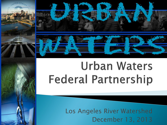

# **Urban Waters Federal Partnership**

Los Angeles River Watershed December 13, 2013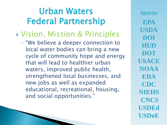## Urban Waters Federal Partnership

- Vision, Mission & Principles
	- "We believe a deeper connection to local water bodies can bring a new cycle of community hope and energy that will lead to healthier urban waters, improved public health, strengthened local businesses, and new jobs as well as expanded educational, recreational, housing, and social opportunities."

*Agencies* **EPA USDA DOI HUD DOT USACE NOAA EDA CDC NIEHS CNCS USDEd USDoE**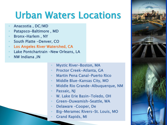# Urban Waters Locations

- Anacostia , DC/MD
- Patapsco-Baltimore , MD
- Bronx-Harlem , NY
- South Platte -Denver, CO
- Los Angeles River Watershed, CA
- Lake Pontchartrain –New Orleans, LA
- NW Indiana ,IN
- Mystic River-Boston, MA
- Proctor Creek-Atlanta, GA
- Martin Pena Canal-Puerto Rico
- Middle Blue-Kansas City, MO
- Middle Rio Grande-Albuquerque, NM
- Passaic, NJ
- W. Lake Erie Basin-Toledo, OH
- Green-Duwamish-Seattle, WA
- Delaware –Cooper, De
- Big-Meramec Rivers-St. Louis, MO
	- Grand Rapids, MI

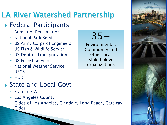## LA River Watershed Partnership

#### ▶ Federal Participants

- Bureau of Reclamation
- National Park Service
- US Army Corps of Engineers
- US Fish & Wildlife Service
- US Dept of Transportation
- US Forest Service
- National Weather Service
- USGS
- HUD

#### ▶ State and Local Govt

- State of CA
- Los Angeles County
- Cities of Los Angeles, Glendale, Long Beach, Gateway Cities



Environmental, Community and other local stakeholder organizations

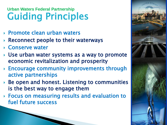#### Guiding Principles **Urban Waters Federal Partnership**

- ▶ Promote clean urban waters
- $\triangleright$  Reconnect people to their waterways
- Conserve water
- Use urban water systems as a way to promote economic revitalization and prosperity
- Encourage community improvements through active partnerships
- $\triangleright$  Be open and honest. Listening to communities is the best way to engage them
- Focus on measuring results and evaluation to fuel future success

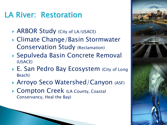### LA River: Restoration

- ▶ ARBOR Study (City of LA/USACE)
- Climate Change/Basin Stormwater Conservation Study (Reclamation)
- Sepulveda Basin Concrete Removal (USACE)
- ▶ E. San Pedro Bay Ecosystem (City of Long Beach)
- ▶ Arroyo Seco Watershed/Canyon (ASF)
- ▶ Compton Creek (LA County, Coastal Conservancy, Heal the Bay)

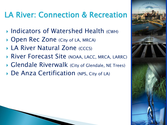## LA River: Connection & Recreation

- ▶ Indicators of Watershed Health (CWH)
- ▶ Open Rec Zone (City of LA, MRCA)
- **LA River Natural Zone (CCCS)**
- **River Forecast Site (NOAA, LACC, MRCA, LARRC)**
- Glendale Riverwalk (City of Glendale, NE Trees)
- ▶ De Anza Certification (NPS, City of LA)

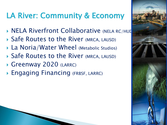## LA River: Community & Economy

- **NELA Riverfront Collaborative (NELA RC/HUD**
- ▶ Safe Routes to the River (MRCA, LAUSD)
- ▶ La Noria/Water Wheel (Metabolic Studios)
- ▶ Safe Routes to the River (MRCA, LAUSD)
- Greenway 2020 (LARRC)
- ▶ Engaging Financing (FRBSF, LARRC)

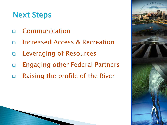### Next Steps

- Communication
- Increased Access & Recreation
- Leveraging of Resources
- Engaging other Federal Partners
- Raising the profile of the River